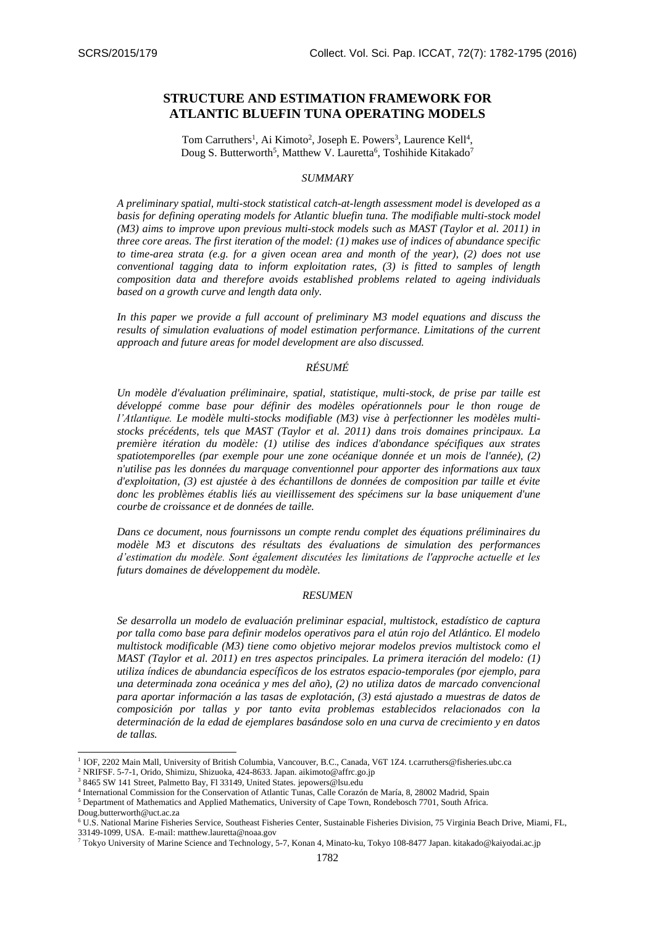# **STRUCTURE AND ESTIMATION FRAMEWORK FOR ATLANTIC BLUEFIN TUNA OPERATING MODELS**

Tom Carruthers<sup>1</sup>, Ai Kimoto<sup>2</sup>, Joseph E. Powers<sup>3</sup>, Laurence Kell<sup>4</sup>, Doug S. Butterworth<sup>5</sup>, Matthew V. Lauretta<sup>6</sup>, Toshihide Kitakado<sup>7</sup>

## *SUMMARY*

*A preliminary spatial, multi-stock statistical catch-at-length assessment model is developed as a basis for defining operating models for Atlantic bluefin tuna. The modifiable multi-stock model (M3) aims to improve upon previous multi-stock models such as MAST (Taylor et al. 2011) in three core areas. The first iteration of the model: (1) makes use of indices of abundance specific to time-area strata (e.g. for a given ocean area and month of the year), (2) does not use conventional tagging data to inform exploitation rates, (3) is fitted to samples of length composition data and therefore avoids established problems related to ageing individuals based on a growth curve and length data only.*

*In this paper we provide a full account of preliminary M3 model equations and discuss the results of simulation evaluations of model estimation performance. Limitations of the current approach and future areas for model development are also discussed.* 

# *RÉSUMÉ*

*Un modèle d'évaluation préliminaire, spatial, statistique, multi-stock, de prise par taille est développé comme base pour définir des modèles opérationnels pour le thon rouge de l'Atlantique. Le modèle multi-stocks modifiable (M3) vise à perfectionner les modèles multistocks précédents, tels que MAST (Taylor et al. 2011) dans trois domaines principaux. La première itération du modèle: (1) utilise des indices d'abondance spécifiques aux strates spatiotemporelles (par exemple pour une zone océanique donnée et un mois de l'année), (2) n'utilise pas les données du marquage conventionnel pour apporter des informations aux taux d'exploitation, (3) est ajustée à des échantillons de données de composition par taille et évite donc les problèmes établis liés au vieillissement des spécimens sur la base uniquement d'une courbe de croissance et de données de taille.*

*Dans ce document, nous fournissons un compte rendu complet des équations préliminaires du modèle M3 et discutons des résultats des évaluations de simulation des performances d'estimation du modèle. Sont également discutées les limitations de l'approche actuelle et les futurs domaines de développement du modèle.* 

#### *RESUMEN*

*Se desarrolla un modelo de evaluación preliminar espacial, multistock, estadístico de captura por talla como base para definir modelos operativos para el atún rojo del Atlántico. El modelo multistock modificable (M3) tiene como objetivo mejorar modelos previos multistock como el MAST (Taylor et al. 2011) en tres aspectos principales. La primera iteración del modelo: (1) utiliza índices de abundancia específicos de los estratos espacio-temporales (por ejemplo, para una determinada zona oceánica y mes del año), (2) no utiliza datos de marcado convencional para aportar información a las tasas de explotación, (3) está ajustado a muestras de datos de composición por tallas y por tanto evita problemas establecidos relacionados con la determinación de la edad de ejemplares basándose solo en una curva de crecimiento y en datos de tallas.*

-

<sup>&</sup>lt;sup>1</sup> IOF, 2202 Main Mall, University of British Columbia, Vancouver, B.C., Canada, V6T 1Z4. t.carruthers@fisheries.ubc.ca

<sup>2</sup> NRIFSF. 5-7-1, Orido, Shimizu, Shizuoka, 424-8633. Japan. aikimoto@affrc.go.jp

<sup>3</sup> 8465 SW 141 Street, Palmetto Bay, Fl 33149, United States. jepowers@lsu.edu

<sup>4</sup> International Commission for the Conservation of Atlantic Tunas, Calle Corazón de María, 8, 28002 Madrid, Spain

<sup>5</sup> Department of Mathematics and Applied Mathematics, University of Cape Town, Rondebosch 7701, South Africa.

Doug.butterworth@uct.ac.za

<sup>6</sup> U.S. National Marine Fisheries Service, Southeast Fisheries Center, Sustainable Fisheries Division, 75 Virginia Beach Drive, Miami, FL, 33149-1099, USA. E-mail: matthew.lauretta@noaa.gov

<sup>7</sup> Tokyo University of Marine Science and Technology, 5-7, Konan 4, Minato-ku, Tokyo 108-8477 Japan. kitakado@kaiyodai.ac.jp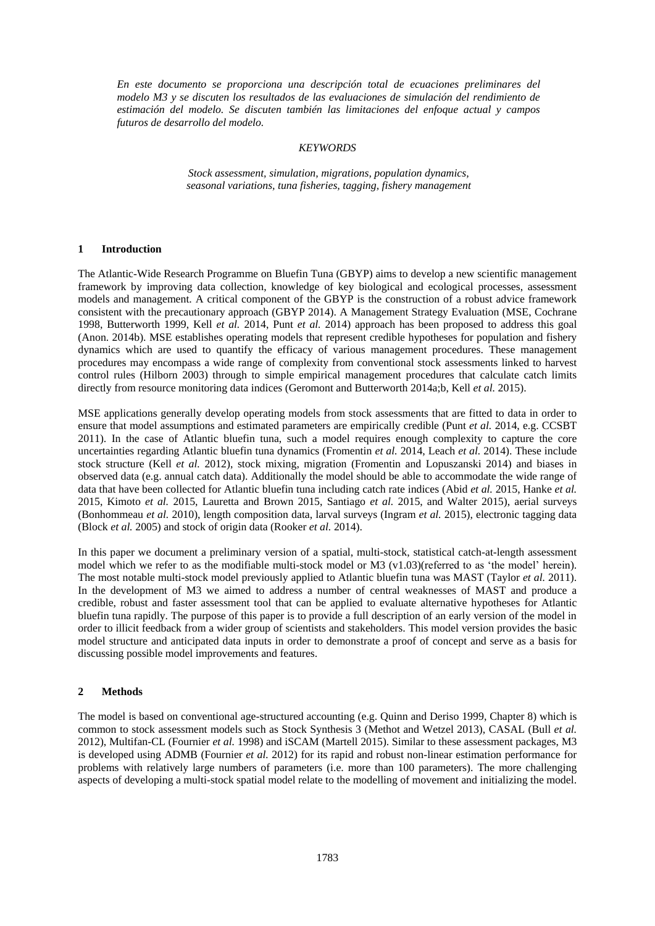*En este documento se proporciona una descripción total de ecuaciones preliminares del modelo M3 y se discuten los resultados de las evaluaciones de simulación del rendimiento de estimación del modelo. Se discuten también las limitaciones del enfoque actual y campos futuros de desarrollo del modelo.* 

#### *KEYWORDS*

*Stock assessment, simulation, migrations, population dynamics, seasonal variations, tuna fisheries, tagging, fishery management*

#### **1 Introduction**

The Atlantic-Wide Research Programme on Bluefin Tuna (GBYP) aims to develop a new scientific management framework by improving data collection, knowledge of key biological and ecological processes, assessment models and management. A critical component of the GBYP is the construction of a robust advice framework consistent with the precautionary approach (GBYP 2014). A Management Strategy Evaluation (MSE, Cochrane 1998, Butterworth 1999, Kell *et al.* 2014, Punt *et al.* 2014) approach has been proposed to address this goal (Anon. 2014b). MSE establishes operating models that represent credible hypotheses for population and fishery dynamics which are used to quantify the efficacy of various management procedures. These management procedures may encompass a wide range of complexity from conventional stock assessments linked to harvest control rules (Hilborn 2003) through to simple empirical management procedures that calculate catch limits directly from resource monitoring data indices (Geromont and Butterworth 2014a;b, Kell *et al.* 2015).

MSE applications generally develop operating models from stock assessments that are fitted to data in order to ensure that model assumptions and estimated parameters are empirically credible (Punt *et al.* 2014, e.g. CCSBT 2011). In the case of Atlantic bluefin tuna, such a model requires enough complexity to capture the core uncertainties regarding Atlantic bluefin tuna dynamics (Fromentin *et al.* 2014, Leach *et al.* 2014). These include stock structure (Kell *et al.* 2012), stock mixing, migration (Fromentin and Lopuszanski 2014) and biases in observed data (e.g. annual catch data). Additionally the model should be able to accommodate the wide range of data that have been collected for Atlantic bluefin tuna including catch rate indices (Abid *et al.* 2015, Hanke *et al.*  2015, Kimoto *et al.* 2015, Lauretta and Brown 2015, Santiago *et al.* 2015, and Walter 2015), aerial surveys (Bonhommeau *et al.* 2010), length composition data, larval surveys (Ingram *et al.* 2015), electronic tagging data (Block *et al.* 2005) and stock of origin data (Rooker *et al.* 2014).

In this paper we document a preliminary version of a spatial, multi-stock, statistical catch-at-length assessment model which we refer to as the modifiable multi-stock model or M3 (v1.03)(referred to as 'the model' herein). The most notable multi-stock model previously applied to Atlantic bluefin tuna was MAST (Taylor *et al.* 2011). In the development of M3 we aimed to address a number of central weaknesses of MAST and produce a credible, robust and faster assessment tool that can be applied to evaluate alternative hypotheses for Atlantic bluefin tuna rapidly. The purpose of this paper is to provide a full description of an early version of the model in order to illicit feedback from a wider group of scientists and stakeholders. This model version provides the basic model structure and anticipated data inputs in order to demonstrate a proof of concept and serve as a basis for discussing possible model improvements and features.

### **2 Methods**

The model is based on conventional age-structured accounting (e.g. Quinn and Deriso 1999, Chapter 8) which is common to stock assessment models such as Stock Synthesis 3 (Methot and Wetzel 2013), CASAL (Bull *et al.*  2012), Multifan-CL (Fournier *et al.* 1998) and iSCAM (Martell 2015). Similar to these assessment packages, M3 is developed using ADMB (Fournier *et al.* 2012) for its rapid and robust non-linear estimation performance for problems with relatively large numbers of parameters (i.e. more than 100 parameters). The more challenging aspects of developing a multi-stock spatial model relate to the modelling of movement and initializing the model.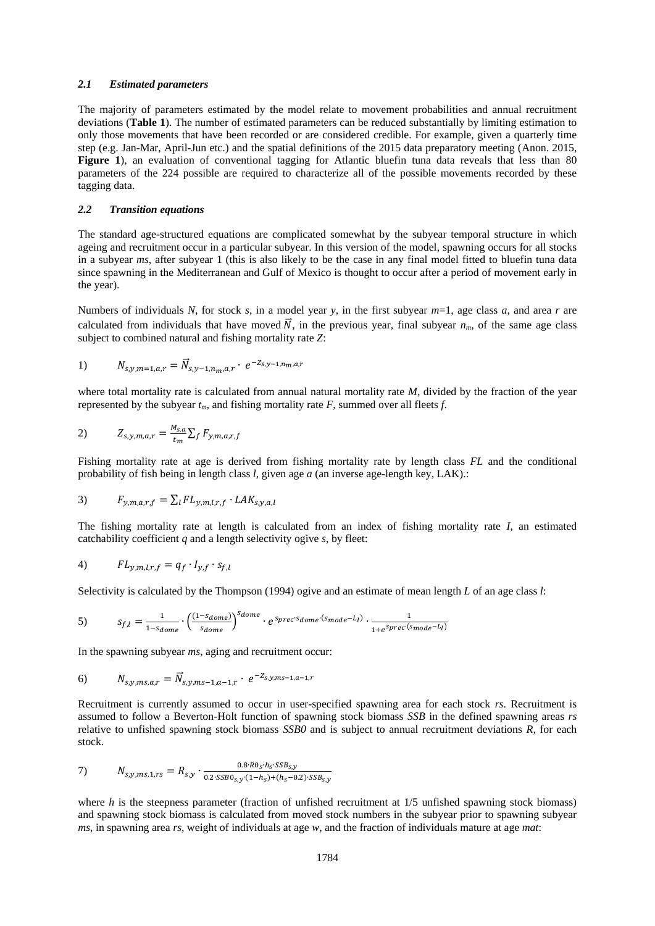## *2.1 Estimated parameters*

The majority of parameters estimated by the model relate to movement probabilities and annual recruitment deviations (**Table 1**). The number of estimated parameters can be reduced substantially by limiting estimation to only those movements that have been recorded or are considered credible. For example, given a quarterly time step (e.g. Jan-Mar, April-Jun etc.) and the spatial definitions of the 2015 data preparatory meeting (Anon. 2015, **Figure 1**), an evaluation of conventional tagging for Atlantic bluefin tuna data reveals that less than 80 parameters of the 224 possible are required to characterize all of the possible movements recorded by these tagging data.

#### *2.2 Transition equations*

The standard age-structured equations are complicated somewhat by the subyear temporal structure in which ageing and recruitment occur in a particular subyear. In this version of the model, spawning occurs for all stocks in a subyear *ms*, after subyear 1 (this is also likely to be the case in any final model fitted to bluefin tuna data since spawning in the Mediterranean and Gulf of Mexico is thought to occur after a period of movement early in the year).

Numbers of individuals *N*, for stock *s*, in a model year *y*, in the first subyear *m*=1, age class *a*, and area *r* are calculated from individuals that have moved  $\vec{N}$ , in the previous year, final subyear  $n_m$ , of the same age class subject to combined natural and fishing mortality rate *Z*:

1) 
$$
N_{s,y,m=1,a,r} = \vec{N}_{s,y-1,n_m,a,r} \cdot e^{-Z_{s,y-1,n_m,a,r}}
$$

where total mortality rate is calculated from annual natural mortality rate *M,* divided by the fraction of the year represented by the subyear  $t_m$ , and fishing mortality rate  $F$ , summed over all fleets  $f$ .

$$
Z_{s,y,m,a,r} = \frac{M_{s,a}}{t_m} \sum_f F_{y,m,a,r,f}
$$

Fishing mortality rate at age is derived from fishing mortality rate by length class *FL* and the conditional probability of fish being in length class *l,* given age *a* (an inverse age-length key, LAK).:

3) 
$$
F_{y,m,a,r,f} = \sum_l FL_{y,m,l,r,f} \cdot LAK_{s,y,a,l}
$$

The fishing mortality rate at length is calculated from an index of fishing mortality rate *I*, an estimated catchability coefficient  $q$  and a length selectivity ogive  $s$ , by fleet:

$$
4) \tF L_{y,m,l,r,f} = q_f \cdot I_{y,f} \cdot s_{f,l}
$$

Selectivity is calculated by the Thompson (1994) ogive and an estimate of mean length *L* of an age class *l*:

$$
S_f = \frac{1}{1 - s_{dome}} \cdot \left(\frac{(1 - s_{dome})}{s_{dome}}\right)^{s_{dome}} \cdot e^{s_{prec} \cdot s_{dome} \cdot (s_{mode} - L_l)} \cdot \frac{1}{1 + e^{s_{prec} \cdot (s_{mode} - L_l)}}
$$

In the spawning subyear *ms*, aging and recruitment occur:

6)  $N_{s,y,ms,a,r} = \vec{N}_{s,y,ms-1,a-1,r} \cdot e^{-Z_{s,y,ms-1,a-1,r}}$ 

Recruitment is currently assumed to occur in user-specified spawning area for each stock *rs*. Recruitment is assumed to follow a Beverton-Holt function of spawning stock biomass *SSB* in the defined spawning areas *rs* relative to unfished spawning stock biomass *SSB0* and is subject to annual recruitment deviations *R*, for each stock.

7) 
$$
N_{s,y,ms,1,rs} = R_{s,y} \cdot \frac{0.8 \cdot R0_S \cdot h_S \cdot SSB_{s,y}}{0.2 \cdot SSB_{s,y} \cdot (1-h_S) + (h_S - 0.2) \cdot SSB_{s,y}}
$$

where *h* is the steepness parameter (fraction of unfished recruitment at 1/5 unfished spawning stock biomass) and spawning stock biomass is calculated from moved stock numbers in the subyear prior to spawning subyear *ms*, in spawning area *rs*, weight of individuals at age *w*, and the fraction of individuals mature at age *mat*: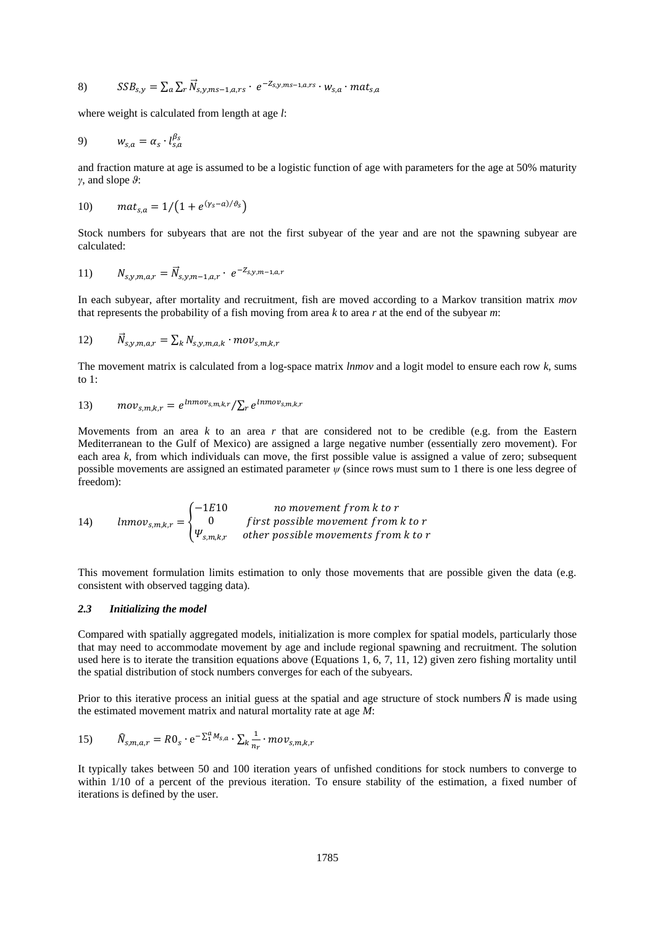8) 
$$
SSB_{s,y} = \sum_{a} \sum_{r} \vec{N}_{s,y,ms-1,a,rs} \cdot e^{-Z_{s,y,ms-1,a,rs}} \cdot w_{s,a} \cdot mat_{s,a}
$$

where weight is calculated from length at age *l*:

$$
9) \t w_{s,a} = \alpha_s \cdot l_{s,a}^{\beta_s}
$$

and fraction mature at age is assumed to be a logistic function of age with parameters for the age at 50% maturity *γ*, and slope *ϑ*:

10) 
$$
mat_{s,a} = 1/(1 + e^{(\gamma_s - a)/\vartheta_s})
$$

Stock numbers for subyears that are not the first subyear of the year and are not the spawning subyear are calculated:

11) 
$$
N_{s,y,m,a,r} = \vec{N}_{s,y,m-1,a,r} \cdot e^{-Z_{s,y,m-1,a,r}}
$$

In each subyear, after mortality and recruitment, fish are moved according to a Markov transition matrix *mov* that represents the probability of a fish moving from area *k* to area *r* at the end of the subyear *m*:

12) 
$$
\vec{N}_{s,y,m,a,r} = \sum_{k} N_{s,y,m,a,k} \cdot mov_{s,m,k,r}
$$

The movement matrix is calculated from a log-space matrix *lnmov* and a logit model to ensure each row *k*, sums to 1:

13) 
$$
mov_{s,m,k,r} = e^{lnmov_{s,m,k,r}} / \sum_{r} e^{lnmov_{s,m,k,r}}
$$

Movements from an area *k* to an area *r* that are considered not to be credible (e.g. from the Eastern Mediterranean to the Gulf of Mexico) are assigned a large negative number (essentially zero movement). For each area *k*, from which individuals can move, the first possible value is assigned a value of zero; subsequent possible movements are assigned an estimated parameter *ψ* (since rows must sum to 1 there is one less degree of freedom):

14) 
$$
lnmov_{s,m,k,r} = \begin{cases} -1E10 & no movement from k to r \\ 0 & first possible movement from k to r \\ \Psi_{s,m,k,r} & other possible movements from k to r \end{cases}
$$

This movement formulation limits estimation to only those movements that are possible given the data (e.g. consistent with observed tagging data).

## *2.3 Initializing the model*

Compared with spatially aggregated models, initialization is more complex for spatial models, particularly those that may need to accommodate movement by age and include regional spawning and recruitment. The solution used here is to iterate the transition equations above (Equations 1, 6, 7, 11, 12) given zero fishing mortality until the spatial distribution of stock numbers converges for each of the subyears.

Prior to this iterative process an initial guess at the spatial and age structure of stock numbers  $\hat{N}$  is made using the estimated movement matrix and natural mortality rate at age *M*:

15) 
$$
\widehat{N}_{s,m,a,r} = R0_s \cdot e^{-\sum_{1}^{a} M_{s,a}} \cdot \sum_{k} \frac{1}{n_r} \cdot mov_{s,m,k,r}
$$

It typically takes between 50 and 100 iteration years of unfished conditions for stock numbers to converge to within 1/10 of a percent of the previous iteration. To ensure stability of the estimation, a fixed number of iterations is defined by the user.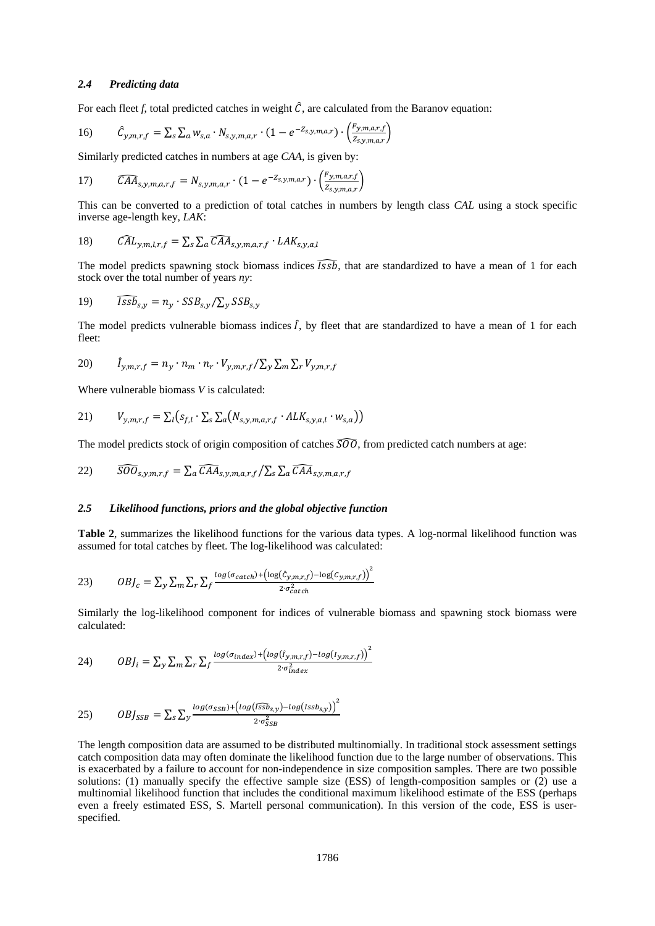## *2.4 Predicting data*

For each fleet  $f$ , total predicted catches in weight  $\hat{C}$ , are calculated from the Baranov equation:

16) 
$$
\hat{C}_{y,m,r,f} = \sum_{s} \sum_{a} w_{s,a} \cdot N_{s,y,m,a,r} \cdot (1 - e^{-Z_{s,y,m,a,r}}) \cdot \left(\frac{F_{y,m,a,r,f}}{Z_{s,y,m,a,r}}\right)
$$

Similarly predicted catches in numbers at age *CAA*, is given by:

17) 
$$
\widehat{CAA}_{s,y,m,a,r,f} = N_{s,y,m,a,r} \cdot (1 - e^{-Z_{s,y,m,a,r}}) \cdot \left(\frac{F_{y,m,a,r,f}}{Z_{s,y,m,a,r}}\right)
$$

This can be converted to a prediction of total catches in numbers by length class *CAL* using a stock specific inverse age-length key, *LAK*:

18) 
$$
\widehat{CAL}_{y,m,l,r,f} = \sum_{s} \sum_{a} \widehat{CAA}_{s,y,m,a,r,f} \cdot LAK_{s,y,a,l}
$$

The model predicts spawning stock biomass indices  $\widehat{Issb}$ , that are standardized to have a mean of 1 for each stock over the total number of years *ny*:

19) 
$$
\widehat{Issb}_{s,y} = n_y \cdot SSB_{s,y}/\sum_{y} SSB_{s,y}
$$

The model predicts vulnerable biomass indices  $\hat{I}$ , by fleet that are standardized to have a mean of 1 for each fleet:

$$
20) \qquad \hat{I}_{y,m,r,f} = n_y \cdot n_m \cdot n_r \cdot V_{y,m,r,f} / \sum_{y} \sum_{m} \sum_{r} V_{y,m,r,f}
$$

Where vulnerable biomass *V* is calculated:

$$
21) \tV_{y,m,r,f} = \sum_l (s_{f,l} \cdot \sum_s \sum_a (N_{s,y,m,a,r,f} \cdot ALK_{s,y,a,l} \cdot w_{s,a}))
$$

The model predicts stock of origin composition of catches  $\overline{S}\overline{O}\overline{O}$ , from predicted catch numbers at age:

22) 
$$
\widehat{S O O}_{s,y,m,r,f} = \sum_{a} \widehat{C A A}_{s,y,m,a,r,f} / \sum_{s} \sum_{a} \widehat{C A A}_{s,y,m,a,r,f}
$$

#### *2.5 Likelihood functions, priors and the global objective function*

**Table 2**, summarizes the likelihood functions for the various data types. A log-normal likelihood function was assumed for total catches by fleet. The log-likelihood was calculated:

23) 
$$
OBJ_c = \sum_{y} \sum_{m} \sum_{r} \sum_{f} \frac{\log(\sigma_{catch}) + (\log(\hat{c}_{y,m,r,f}) - \log(c_{y,m,r,f}))^2}{2 \cdot \sigma_{catch}^2}
$$

Similarly the log-likelihood component for indices of vulnerable biomass and spawning stock biomass were calculated:

2

 $\overline{2}$ 

$$
24) \qquad \qquad OBJ_i = \sum_{y} \sum_{m} \sum_{r} \sum_{f} \frac{\log(\sigma_{index}) + (\log(\hat{I}_{y,m,r,f}) - \log(I_{y,m,r,f}))}{2 \cdot \sigma_{index}^2}
$$

$$
(25) \qquad \qquad OBJ_{SSB} = \sum_{s} \sum_{y} \frac{\log(\sigma_{SSB}) + (\log(\overline{ISSb}_{s,y}) - \log(\overline{ISSb}_{s,y}))^2}{2 \cdot \sigma_{SSB}^2}
$$

The length composition data are assumed to be distributed multinomially. In traditional stock assessment settings catch composition data may often dominate the likelihood function due to the large number of observations. This is exacerbated by a failure to account for non-independence in size composition samples. There are two possible solutions: (1) manually specify the effective sample size (ESS) of length-composition samples or (2) use a multinomial likelihood function that includes the conditional maximum likelihood estimate of the ESS (perhaps even a freely estimated ESS, S. Martell personal communication). In this version of the code, ESS is userspecified.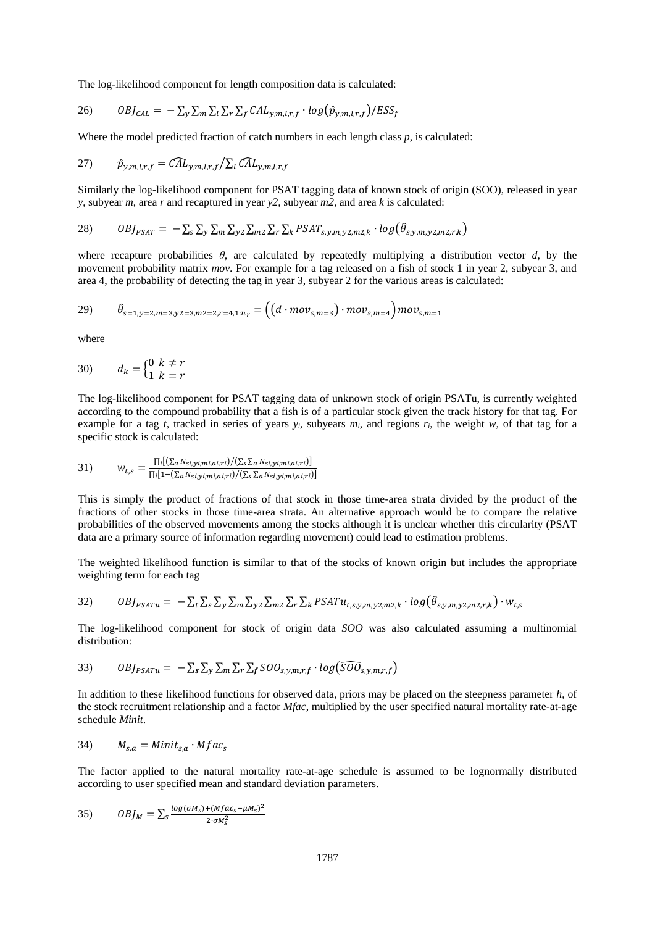The log-likelihood component for length composition data is calculated:

$$
26) \qquad \qquad OBJ_{CAL} = -\sum_{y} \sum_{m} \sum_{l} \sum_{r} \sum_{f} CAL_{y,m,l,r,f} \cdot log(\hat{p}_{y,m,l,r,f})/ESS_{f}
$$

Where the model predicted fraction of catch numbers in each length class *p*, is calculated:

27) 
$$
\hat{p}_{y,m,l,r,f} = \widehat{CAL}_{y,m,l,r,f} / \sum_l \widehat{CAL}_{y,m,l,r,f}
$$

Similarly the log-likelihood component for PSAT tagging data of known stock of origin (SOO), released in year *y*, subyear *m*, area *r* and recaptured in year *y2,* subyear *m2*, and area *k* is calculated:

28) 
$$
OBJ_{PSAT} = -\sum_{s}\sum_{y}\sum_{m}\sum_{y2}\sum_{m2}\sum_{r}\sum_{k}PSAT_{s,y,m,y2,m2,k} \cdot log(\hat{\theta}_{s,y,m,y2,m2,r,k})
$$

where recapture probabilities  $\theta$ , are calculated by repeatedly multiplying a distribution vector  $d$ , by the movement probability matrix *mov*. For example for a tag released on a fish of stock 1 in year 2, subyear 3, and area 4, the probability of detecting the tag in year 3, subyear 2 for the various areas is calculated:

29) 
$$
\hat{\theta}_{s=1,y=2,m=3,y=2,m=2,z=4,1:n_r} = ((d \cdot mov_{s,m=3}) \cdot mov_{s,m=4}) \cdot mov_{s,m=1}
$$

where

$$
30) \qquad d_k = \begin{cases} 0 & k \neq r \\ 1 & k = r \end{cases}
$$

The log-likelihood component for PSAT tagging data of unknown stock of origin PSATu, is currently weighted according to the compound probability that a fish is of a particular stock given the track history for that tag. For example for a tag *t*, tracked in series of years  $y_i$ , subyears  $m_i$ , and regions  $r_i$ , the weight  $w$ , of that tag for a specific stock is calculated:

31) 
$$
w_{t,s} = \frac{\prod_i [(\sum_a N_{si,yi,mi,ai,ri})/(\sum_s \sum_a N_{si,yi,mi,ai,ri})]}{\prod_i [1-(\sum_a N_{si,yi,mi,ai,ri})/(\sum_s \sum_a N_{si,yi,mi,ai,ri})]}
$$

This is simply the product of fractions of that stock in those time-area strata divided by the product of the fractions of other stocks in those time-area strata. An alternative approach would be to compare the relative probabilities of the observed movements among the stocks although it is unclear whether this circularity (PSAT data are a primary source of information regarding movement) could lead to estimation problems.

The weighted likelihood function is similar to that of the stocks of known origin but includes the appropriate weighting term for each tag

32) 
$$
OBJ_{PSATu} = -\sum_{t} \sum_{s} \sum_{y} \sum_{m} \sum_{y2} \sum_{m2} \sum_{r} \sum_{k} PSATu_{t,s,y,m,y2,m2,k} \cdot log(\hat{\theta}_{s,y,m,y2,m2,r,k}) \cdot w_{t,s}
$$

The log-likelihood component for stock of origin data *SOO* was also calculated assuming a multinomial distribution:

33) 
$$
OBJ_{PSATu} = -\sum_{s}\sum_{y}\sum_{m}\sum_{r}\sum_{f}SOO_{s,y,m,r,f} \cdot log(\widehat{SOO}_{s,y,m,r,f})
$$

In addition to these likelihood functions for observed data, priors may be placed on the steepness parameter *h*, of the stock recruitment relationship and a factor *Mfac*, multiplied by the user specified natural mortality rate-at-age schedule *Minit*.

34) 
$$
M_{s,a} = Minit_{s,a} \cdot Mfac_s
$$

The factor applied to the natural mortality rate-at-age schedule is assumed to be lognormally distributed according to user specified mean and standard deviation parameters.

$$
35) \qquad \qquad OBJ_M = \sum_{s} \frac{\log(\sigma M_s) + (Mfac_s - \mu M_s)^2}{2 \cdot \sigma M_s^2}
$$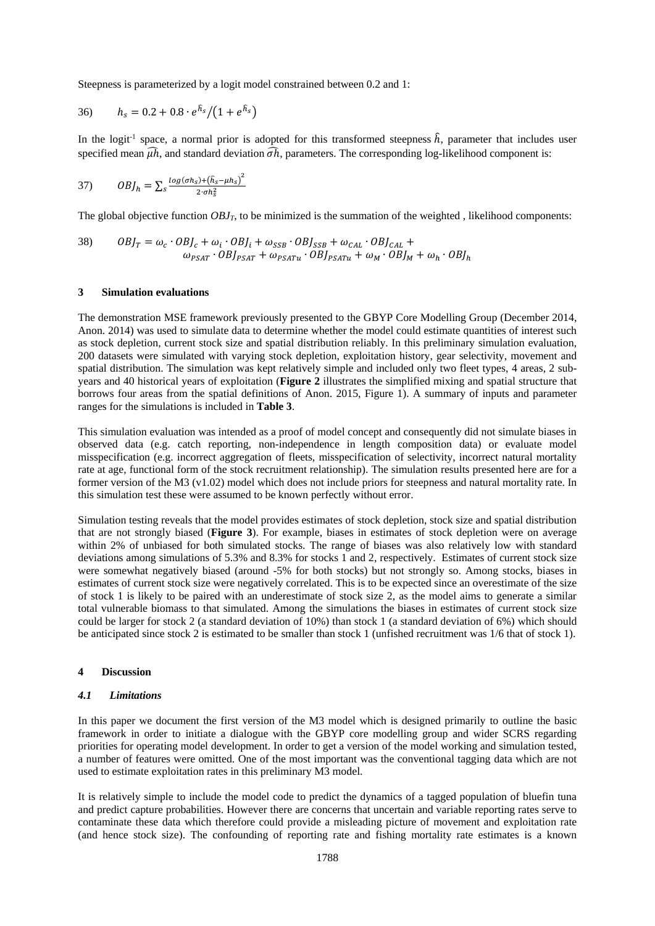Steepness is parameterized by a logit model constrained between 0.2 and 1:

36) 
$$
h_s = 0.2 + 0.8 \cdot e^{\hat{h}_s} / (1 + e^{\hat{h}_s})
$$

In the logit<sup>-1</sup> space, a normal prior is adopted for this transformed steepness  $\hat{h}$ , parameter that includes user specified mean  $\widehat{uh}$ , and standard deviation  $\widehat{oh}$ , parameters. The corresponding log-likelihood component is:

37) 
$$
OBJ_h = \sum_{s} \frac{\log(\sigma h_s) + (\hat{h}_s - \mu h_s)^2}{2 \cdot \sigma h_s^2}
$$

The global objective function  $OBJ<sub>T</sub>$ , to be minimized is the summation of the weighted, likelihood components:

38) 
$$
OBJ_T = \omega_c \cdot OBJ_c + \omega_i \cdot OBJ_i + \omega_{SSB} \cdot OBJ_{SSB} + \omega_{CAL} \cdot OBJ_{CAL} +
$$

$$
\omega_{PSAT} \cdot OBJ_{PSATu} + \omega_{PSATu} \cdot OBJ_{PSATu} + \omega_M \cdot OBJ_M + \omega_h \cdot OBJ_h
$$

#### **3 Simulation evaluations**

The demonstration MSE framework previously presented to the GBYP Core Modelling Group (December 2014, Anon. 2014) was used to simulate data to determine whether the model could estimate quantities of interest such as stock depletion, current stock size and spatial distribution reliably. In this preliminary simulation evaluation, 200 datasets were simulated with varying stock depletion, exploitation history, gear selectivity, movement and spatial distribution. The simulation was kept relatively simple and included only two fleet types, 4 areas, 2 subyears and 40 historical years of exploitation (**Figure 2** illustrates the simplified mixing and spatial structure that borrows four areas from the spatial definitions of Anon. 2015, Figure 1). A summary of inputs and parameter ranges for the simulations is included in **Table 3**.

This simulation evaluation was intended as a proof of model concept and consequently did not simulate biases in observed data (e.g. catch reporting, non-independence in length composition data) or evaluate model misspecification (e.g. incorrect aggregation of fleets, misspecification of selectivity, incorrect natural mortality rate at age, functional form of the stock recruitment relationship). The simulation results presented here are for a former version of the M3 (v1.02) model which does not include priors for steepness and natural mortality rate. In this simulation test these were assumed to be known perfectly without error.

Simulation testing reveals that the model provides estimates of stock depletion, stock size and spatial distribution that are not strongly biased (**Figure 3**). For example, biases in estimates of stock depletion were on average within 2% of unbiased for both simulated stocks. The range of biases was also relatively low with standard deviations among simulations of 5.3% and 8.3% for stocks 1 and 2, respectively. Estimates of current stock size were somewhat negatively biased (around -5% for both stocks) but not strongly so. Among stocks, biases in estimates of current stock size were negatively correlated. This is to be expected since an overestimate of the size of stock 1 is likely to be paired with an underestimate of stock size 2, as the model aims to generate a similar total vulnerable biomass to that simulated. Among the simulations the biases in estimates of current stock size could be larger for stock 2 (a standard deviation of 10%) than stock 1 (a standard deviation of 6%) which should be anticipated since stock 2 is estimated to be smaller than stock 1 (unfished recruitment was 1/6 that of stock 1).

#### **4 Discussion**

## *4.1 Limitations*

In this paper we document the first version of the M3 model which is designed primarily to outline the basic framework in order to initiate a dialogue with the GBYP core modelling group and wider SCRS regarding priorities for operating model development. In order to get a version of the model working and simulation tested, a number of features were omitted. One of the most important was the conventional tagging data which are not used to estimate exploitation rates in this preliminary M3 model.

It is relatively simple to include the model code to predict the dynamics of a tagged population of bluefin tuna and predict capture probabilities. However there are concerns that uncertain and variable reporting rates serve to contaminate these data which therefore could provide a misleading picture of movement and exploitation rate (and hence stock size). The confounding of reporting rate and fishing mortality rate estimates is a known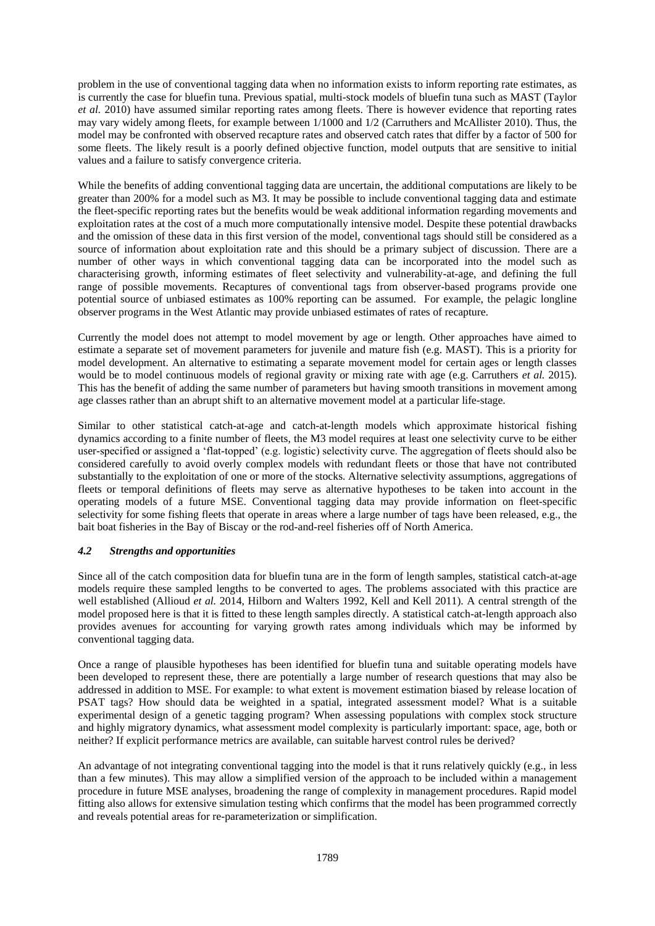problem in the use of conventional tagging data when no information exists to inform reporting rate estimates, as is currently the case for bluefin tuna. Previous spatial, multi-stock models of bluefin tuna such as MAST (Taylor *et al.* 2010) have assumed similar reporting rates among fleets. There is however evidence that reporting rates may vary widely among fleets, for example between 1/1000 and 1/2 (Carruthers and McAllister 2010). Thus, the model may be confronted with observed recapture rates and observed catch rates that differ by a factor of 500 for some fleets. The likely result is a poorly defined objective function, model outputs that are sensitive to initial values and a failure to satisfy convergence criteria.

While the benefits of adding conventional tagging data are uncertain, the additional computations are likely to be greater than 200% for a model such as M3. It may be possible to include conventional tagging data and estimate the fleet-specific reporting rates but the benefits would be weak additional information regarding movements and exploitation rates at the cost of a much more computationally intensive model. Despite these potential drawbacks and the omission of these data in this first version of the model, conventional tags should still be considered as a source of information about exploitation rate and this should be a primary subject of discussion. There are a number of other ways in which conventional tagging data can be incorporated into the model such as characterising growth, informing estimates of fleet selectivity and vulnerability-at-age, and defining the full range of possible movements. Recaptures of conventional tags from observer-based programs provide one potential source of unbiased estimates as 100% reporting can be assumed. For example, the pelagic longline observer programs in the West Atlantic may provide unbiased estimates of rates of recapture.

Currently the model does not attempt to model movement by age or length. Other approaches have aimed to estimate a separate set of movement parameters for juvenile and mature fish (e.g. MAST). This is a priority for model development. An alternative to estimating a separate movement model for certain ages or length classes would be to model continuous models of regional gravity or mixing rate with age (e.g. Carruthers *et al.* 2015). This has the benefit of adding the same number of parameters but having smooth transitions in movement among age classes rather than an abrupt shift to an alternative movement model at a particular life-stage.

Similar to other statistical catch-at-age and catch-at-length models which approximate historical fishing dynamics according to a finite number of fleets, the M3 model requires at least one selectivity curve to be either user-specified or assigned a 'flat-topped' (e.g. logistic) selectivity curve. The aggregation of fleets should also be considered carefully to avoid overly complex models with redundant fleets or those that have not contributed substantially to the exploitation of one or more of the stocks. Alternative selectivity assumptions, aggregations of fleets or temporal definitions of fleets may serve as alternative hypotheses to be taken into account in the operating models of a future MSE. Conventional tagging data may provide information on fleet-specific selectivity for some fishing fleets that operate in areas where a large number of tags have been released, e.g., the bait boat fisheries in the Bay of Biscay or the rod-and-reel fisheries off of North America.

# *4.2 Strengths and opportunities*

Since all of the catch composition data for bluefin tuna are in the form of length samples, statistical catch-at-age models require these sampled lengths to be converted to ages. The problems associated with this practice are well established (Allioud *et al.* 2014, Hilborn and Walters 1992, Kell and Kell 2011). A central strength of the model proposed here is that it is fitted to these length samples directly. A statistical catch-at-length approach also provides avenues for accounting for varying growth rates among individuals which may be informed by conventional tagging data.

Once a range of plausible hypotheses has been identified for bluefin tuna and suitable operating models have been developed to represent these, there are potentially a large number of research questions that may also be addressed in addition to MSE. For example: to what extent is movement estimation biased by release location of PSAT tags? How should data be weighted in a spatial, integrated assessment model? What is a suitable experimental design of a genetic tagging program? When assessing populations with complex stock structure and highly migratory dynamics, what assessment model complexity is particularly important: space, age, both or neither? If explicit performance metrics are available, can suitable harvest control rules be derived?

An advantage of not integrating conventional tagging into the model is that it runs relatively quickly (e.g., in less than a few minutes). This may allow a simplified version of the approach to be included within a management procedure in future MSE analyses, broadening the range of complexity in management procedures. Rapid model fitting also allows for extensive simulation testing which confirms that the model has been programmed correctly and reveals potential areas for re-parameterization or simplification.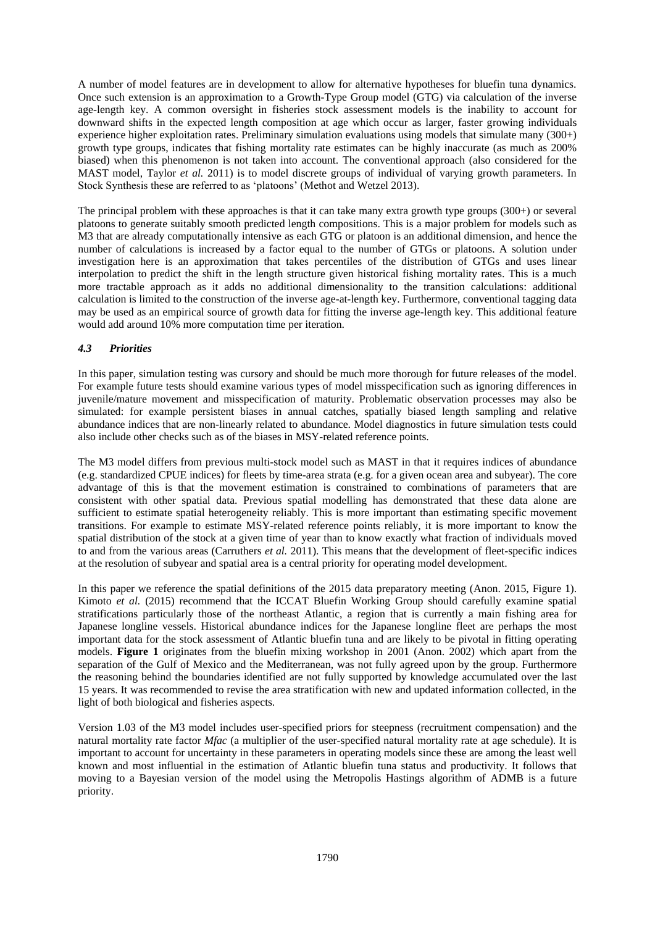A number of model features are in development to allow for alternative hypotheses for bluefin tuna dynamics. Once such extension is an approximation to a Growth-Type Group model (GTG) via calculation of the inverse age-length key. A common oversight in fisheries stock assessment models is the inability to account for downward shifts in the expected length composition at age which occur as larger, faster growing individuals experience higher exploitation rates. Preliminary simulation evaluations using models that simulate many (300+) growth type groups, indicates that fishing mortality rate estimates can be highly inaccurate (as much as 200% biased) when this phenomenon is not taken into account. The conventional approach (also considered for the MAST model, Taylor *et al.* 2011) is to model discrete groups of individual of varying growth parameters. In Stock Synthesis these are referred to as 'platoons' (Methot and Wetzel 2013).

The principal problem with these approaches is that it can take many extra growth type groups (300+) or several platoons to generate suitably smooth predicted length compositions. This is a major problem for models such as M3 that are already computationally intensive as each GTG or platoon is an additional dimension, and hence the number of calculations is increased by a factor equal to the number of GTGs or platoons. A solution under investigation here is an approximation that takes percentiles of the distribution of GTGs and uses linear interpolation to predict the shift in the length structure given historical fishing mortality rates. This is a much more tractable approach as it adds no additional dimensionality to the transition calculations: additional calculation is limited to the construction of the inverse age-at-length key. Furthermore, conventional tagging data may be used as an empirical source of growth data for fitting the inverse age-length key. This additional feature would add around 10% more computation time per iteration.

# *4.3 Priorities*

In this paper, simulation testing was cursory and should be much more thorough for future releases of the model. For example future tests should examine various types of model misspecification such as ignoring differences in juvenile/mature movement and misspecification of maturity. Problematic observation processes may also be simulated: for example persistent biases in annual catches, spatially biased length sampling and relative abundance indices that are non-linearly related to abundance. Model diagnostics in future simulation tests could also include other checks such as of the biases in MSY-related reference points.

The M3 model differs from previous multi-stock model such as MAST in that it requires indices of abundance (e.g. standardized CPUE indices) for fleets by time-area strata (e.g. for a given ocean area and subyear). The core advantage of this is that the movement estimation is constrained to combinations of parameters that are consistent with other spatial data. Previous spatial modelling has demonstrated that these data alone are sufficient to estimate spatial heterogeneity reliably. This is more important than estimating specific movement transitions. For example to estimate MSY-related reference points reliably, it is more important to know the spatial distribution of the stock at a given time of year than to know exactly what fraction of individuals moved to and from the various areas (Carruthers *et al.* 2011). This means that the development of fleet-specific indices at the resolution of subyear and spatial area is a central priority for operating model development.

In this paper we reference the spatial definitions of the 2015 data preparatory meeting (Anon. 2015, Figure 1). Kimoto *et al.* (2015) recommend that the ICCAT Bluefin Working Group should carefully examine spatial stratifications particularly those of the northeast Atlantic, a region that is currently a main fishing area for Japanese longline vessels. Historical abundance indices for the Japanese longline fleet are perhaps the most important data for the stock assessment of Atlantic bluefin tuna and are likely to be pivotal in fitting operating models. **Figure 1** originates from the bluefin mixing workshop in 2001 (Anon. 2002) which apart from the separation of the Gulf of Mexico and the Mediterranean, was not fully agreed upon by the group. Furthermore the reasoning behind the boundaries identified are not fully supported by knowledge accumulated over the last 15 years. It was recommended to revise the area stratification with new and updated information collected, in the light of both biological and fisheries aspects.

Version 1.03 of the M3 model includes user-specified priors for steepness (recruitment compensation) and the natural mortality rate factor *Mfac* (a multiplier of the user-specified natural mortality rate at age schedule). It is important to account for uncertainty in these parameters in operating models since these are among the least well known and most influential in the estimation of Atlantic bluefin tuna status and productivity. It follows that moving to a Bayesian version of the model using the Metropolis Hastings algorithm of ADMB is a future priority.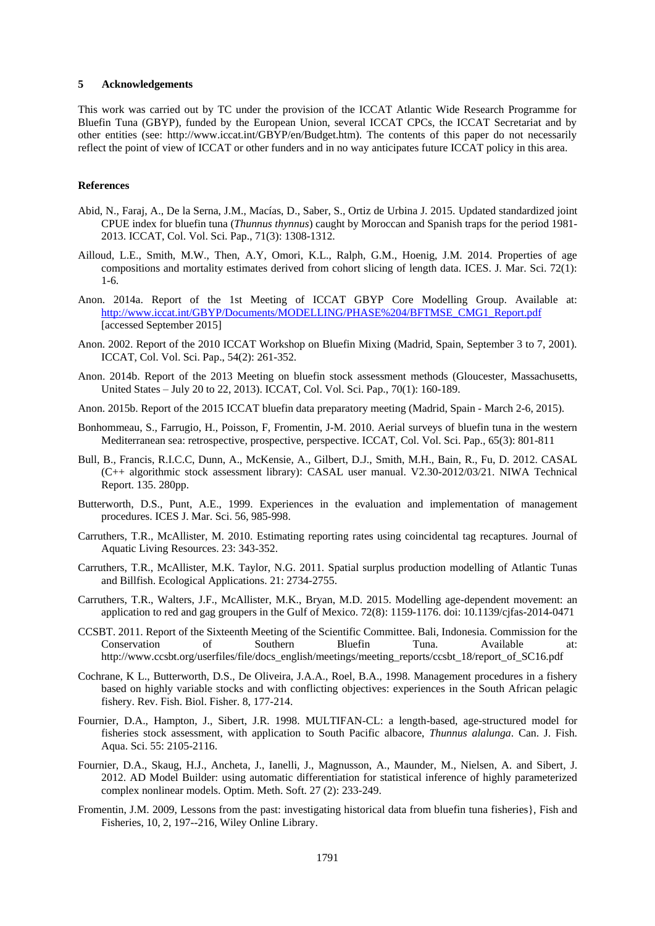#### **5 Acknowledgements**

This work was carried out by TC under the provision of the ICCAT Atlantic Wide Research Programme for Bluefin Tuna (GBYP), funded by the European Union, several ICCAT CPCs, the ICCAT Secretariat and by other entities (see: http://www.iccat.int/GBYP/en/Budget.htm). The contents of this paper do not necessarily reflect the point of view of ICCAT or other funders and in no way anticipates future ICCAT policy in this area.

## **References**

- Abid, N., Faraj, A., De la Serna, J.M., Macías, D., Saber, S., Ortiz de Urbina J. 2015. Updated standardized joint CPUE index for bluefin tuna (*Thunnus thynnus*) caught by Moroccan and Spanish traps for the period 1981- 2013. ICCAT, Col. Vol. Sci. Pap., 71(3): 1308-1312.
- Ailloud, L.E., Smith, M.W., Then, A.Y, Omori, K.L., Ralph, G.M., Hoenig, J.M. 2014. Properties of age compositions and mortality estimates derived from cohort slicing of length data. ICES. J. Mar. Sci. 72(1): 1-6.
- Anon. 2014a. Report of the 1st Meeting of ICCAT GBYP Core Modelling Group. Available at: [http://www.iccat.int/GBYP/Documents/MODELLING/PHASE%204/BFTMSE\\_CMG1\\_Report.pdf](http://www.iccat.int/GBYP/Documents/MODELLING/PHASE%204/BFTMSE_CMG1_Report.pdf) [accessed September 2015]
- Anon. 2002. Report of the 2010 ICCAT Workshop on Bluefin Mixing (Madrid, Spain, September 3 to 7, 2001). ICCAT, Col. Vol. Sci. Pap., 54(2): 261-352.
- Anon. 2014b. Report of the 2013 Meeting on bluefin stock assessment methods (Gloucester, Massachusetts, United States – July 20 to 22, 2013). ICCAT, Col. Vol. Sci. Pap., 70(1): 160-189.
- Anon. 2015b. Report of the 2015 ICCAT bluefin data preparatory meeting (Madrid, Spain March 2-6, 2015).
- Bonhommeau, S., Farrugio, H., Poisson, F, Fromentin, J-M. 2010. Aerial surveys of bluefin tuna in the western Mediterranean sea: retrospective, prospective, perspective. ICCAT, Col. Vol. Sci. Pap., 65(3): 801-811
- Bull, B., Francis, R.I.C.C, Dunn, A., McKensie, A., Gilbert, D.J., Smith, M.H., Bain, R., Fu, D. 2012. CASAL (C++ algorithmic stock assessment library): CASAL user manual. V2.30-2012/03/21. NIWA Technical Report. 135. 280pp.
- Butterworth, D.S., Punt, A.E., 1999. Experiences in the evaluation and implementation of management procedures. ICES J. Mar. Sci. 56, 985-998.
- Carruthers, T.R., McAllister, M. 2010. Estimating reporting rates using coincidental tag recaptures. Journal of Aquatic Living Resources. 23: 343-352.
- Carruthers, T.R., McAllister, M.K. Taylor, N.G. 2011. Spatial surplus production modelling of Atlantic Tunas and Billfish. Ecological Applications. 21: 2734-2755.
- Carruthers, T.R., Walters, J.F., McAllister, M.K., Bryan, M.D. 2015. Modelling age-dependent movement: an application to red and gag groupers in the Gulf of Mexico. 72(8): 1159-1176. doi: 10.1139/cjfas-2014-0471
- CCSBT. 2011. Report of the Sixteenth Meeting of the Scientific Committee. Bali, Indonesia. Commission for the Conservation of Southern Bluefin Tuna. Available at: http://www.ccsbt.org/userfiles/file/docs\_english/meetings/meeting\_reports/ccsbt\_18/report\_of\_SC16.pdf
- Cochrane, K L., Butterworth, D.S., De Oliveira, J.A.A., Roel, B.A., 1998. Management procedures in a fishery based on highly variable stocks and with conflicting objectives: experiences in the South African pelagic fishery. Rev. Fish. Biol. Fisher. 8, 177-214.
- Fournier, D.A., Hampton, J., Sibert, J.R. 1998. MULTIFAN-CL: a length-based, age-structured model for fisheries stock assessment, with application to South Pacific albacore, *Thunnus alalunga*. Can. J. Fish. Aqua. Sci. 55: 2105-2116.
- Fournier, D.A., Skaug, H.J., Ancheta, J., Ianelli, J., Magnusson, A., Maunder, M., Nielsen, A. and Sibert, J. 2012. AD Model Builder: using automatic differentiation for statistical inference of highly parameterized complex nonlinear models. Optim. Meth. Soft. 27 (2): 233-249.
- Fromentin, J.M. 2009, Lessons from the past: investigating historical data from bluefin tuna fisheries}, Fish and Fisheries, 10, 2, 197--216, Wiley Online Library.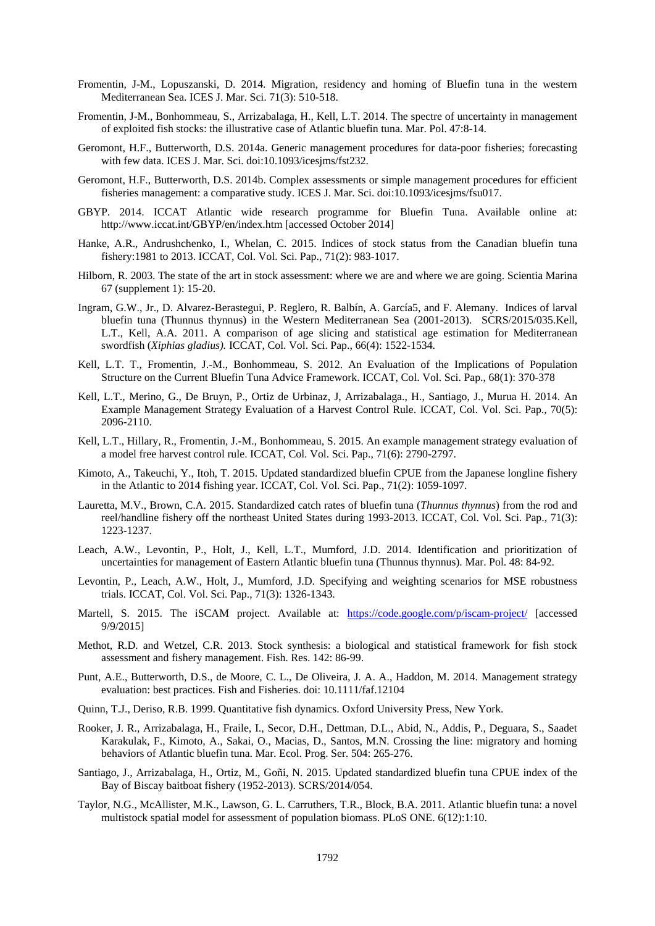- Fromentin, J-M., Lopuszanski, D. 2014. Migration, residency and homing of Bluefin tuna in the western Mediterranean Sea. ICES J. Mar. Sci. 71(3): 510-518.
- Fromentin, J-M., Bonhommeau, S., Arrizabalaga, H., Kell, L.T. 2014. The spectre of uncertainty in management of exploited fish stocks: the illustrative case of Atlantic bluefin tuna. Mar. Pol. 47:8-14.
- Geromont, H.F., Butterworth, D.S. 2014a. Generic management procedures for data-poor fisheries; forecasting with few data. ICES J. Mar. Sci. doi:10.1093/icesjms/fst232.
- Geromont, H.F., Butterworth, D.S. 2014b. Complex assessments or simple management procedures for efficient fisheries management: a comparative study. ICES J. Mar. Sci. doi:10.1093/icesjms/fsu017.
- GBYP. 2014. ICCAT Atlantic wide research programme for Bluefin Tuna. Available online at: http://www.iccat.int/GBYP/en/index.htm [accessed October 2014]
- Hanke, A.R., Andrushchenko, I., Whelan, C. 2015. Indices of stock status from the Canadian bluefin tuna fishery:1981 to 2013. ICCAT, Col. Vol. Sci. Pap., 71(2): 983-1017.
- Hilborn, R. 2003. The state of the art in stock assessment: where we are and where we are going. Scientia Marina 67 (supplement 1): 15-20.
- Ingram, G.W., Jr., D. Alvarez-Berastegui, P. Reglero, R. Balbín, A. García5, and F. Alemany. Indices of larval bluefin tuna (Thunnus thynnus) in the Western Mediterranean Sea (2001-2013). SCRS/2015/035.Kell, L.T., Kell, A.A. 2011. A comparison of age slicing and statistical age estimation for Mediterranean swordfish (*Xiphias gladius).* ICCAT, Col. Vol. Sci. Pap., 66(4): 1522-1534.
- Kell, L.T. T., Fromentin, J.-M., Bonhommeau, S. 2012. An Evaluation of the Implications of Population Structure on the Current Bluefin Tuna Advice Framework. ICCAT, Col. Vol. Sci. Pap., 68(1): 370-378
- Kell, L.T., Merino, G., De Bruyn, P., Ortiz de Urbinaz, J, Arrizabalaga., H., Santiago, J., Murua H. 2014. An Example Management Strategy Evaluation of a Harvest Control Rule. ICCAT, Col. Vol. Sci. Pap., 70(5): 2096-2110.
- Kell, L.T., Hillary, R., Fromentin, J.-M., Bonhommeau, S. 2015. An example management strategy evaluation of a model free harvest control rule. ICCAT, Col. Vol. Sci. Pap., 71(6): 2790-2797.
- Kimoto, A., Takeuchi, Y., Itoh, T. 2015. Updated standardized bluefin CPUE from the Japanese longline fishery in the Atlantic to 2014 fishing year. ICCAT, Col. Vol. Sci. Pap., 71(2): 1059-1097.
- Lauretta, M.V., Brown, C.A. 2015. Standardized catch rates of bluefin tuna (*Thunnus thynnus*) from the rod and reel/handline fishery off the northeast United States during 1993-2013. ICCAT, Col. Vol. Sci. Pap., 71(3): 1223-1237.
- Leach, A.W., Levontin, P., Holt, J., Kell, L.T., Mumford, J.D. 2014. Identification and prioritization of uncertainties for management of Eastern Atlantic bluefin tuna (Thunnus thynnus). Mar. Pol. 48: 84-92.
- Levontin, P., Leach, A.W., Holt, J., Mumford, J.D. Specifying and weighting scenarios for MSE robustness trials. ICCAT, Col. Vol. Sci. Pap., 71(3): 1326-1343.
- Martell, S. 2015. The iSCAM project. Available at: <https://code.google.com/p/iscam-project/> [accessed 9/9/2015]
- Methot, R.D. and Wetzel, C.R. 2013. Stock synthesis: a biological and statistical framework for fish stock assessment and fishery management. Fish. Res. 142: 86-99.
- Punt, A.E., Butterworth, D.S., de Moore, C. L., De Oliveira, J. A. A., Haddon, M. 2014. Management strategy evaluation: best practices. Fish and Fisheries. doi: 10.1111/faf.12104
- Quinn, T.J., Deriso, R.B. 1999. Quantitative fish dynamics. Oxford University Press, New York.
- Rooker, J. R., Arrizabalaga, H., Fraile, I., Secor, D.H., Dettman, D.L., Abid, N., Addis, P., Deguara, S., Saadet Karakulak, F., Kimoto, A., Sakai, O., Macias, D., Santos, M.N. Crossing the line: migratory and homing behaviors of Atlantic bluefin tuna. Mar. Ecol. Prog. Ser. 504: 265-276.
- Santiago, J., Arrizabalaga, H., Ortiz, M., Goñi, N. 2015. Updated standardized bluefin tuna CPUE index of the Bay of Biscay baitboat fishery (1952-2013). SCRS/2014/054.
- Taylor, N.G., McAllister, M.K., Lawson, G. L. Carruthers, T.R., Block, B.A. 2011. Atlantic bluefin tuna: a novel multistock spatial model for assessment of population biomass. PLoS ONE. 6(12):1:10.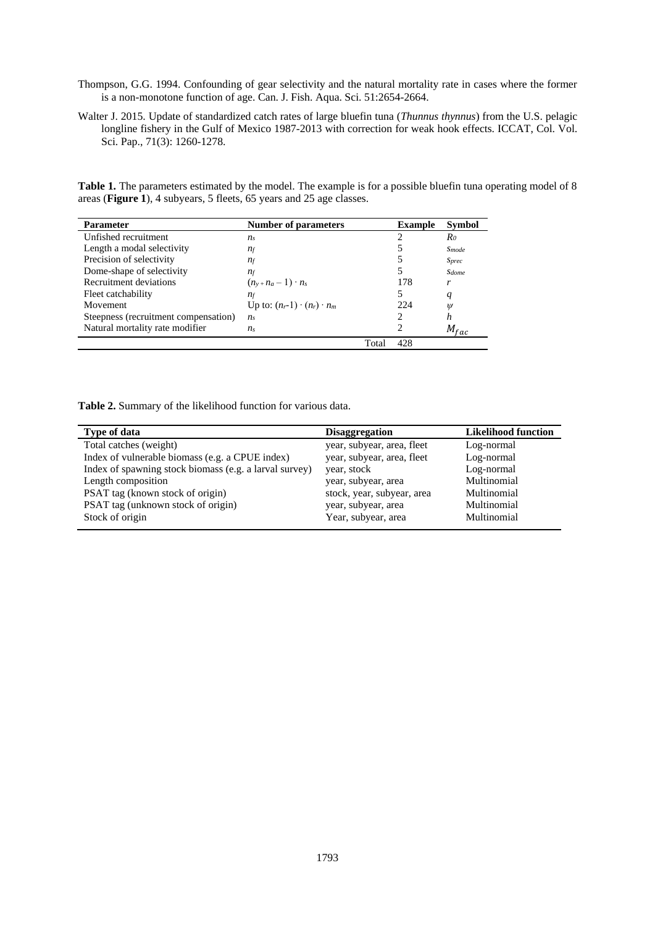- Thompson, G.G. 1994. Confounding of gear selectivity and the natural mortality rate in cases where the former is a non-monotone function of age. Can. J. Fish. Aqua. Sci. 51:2654-2664.
- Walter J. 2015. Update of standardized catch rates of large bluefin tuna (*Thunnus thynnus*) from the U.S. pelagic longline fishery in the Gulf of Mexico 1987-2013 with correction for weak hook effects. ICCAT, Col. Vol. Sci. Pap., 71(3): 1260-1278.

Table 1. The parameters estimated by the model. The example is for a possible bluefin tuna operating model of 8 areas (**Figure 1**), 4 subyears, 5 fleets, 65 years and 25 age classes.

| <b>Parameter</b>                     | <b>Number of parameters</b>            |       | <b>Example</b> | <b>Symbol</b>     |
|--------------------------------------|----------------------------------------|-------|----------------|-------------------|
| Unfished recruitment                 | n <sub>s</sub>                         |       |                | Ro                |
| Length a modal selectivity           | $n_f$                                  |       |                | <b>Smode</b>      |
| Precision of selectivity             | $n_f$                                  |       |                | <b>Sprec</b>      |
| Dome-shape of selectivity            | $n_f$                                  |       |                | Sdome             |
| Recruitment deviations               | $(n_{v+}n_{a}-1)\cdot n_{s}$           |       | 178            |                   |
| Fleet catchability                   | $n_f$                                  |       |                | q                 |
| Movement                             | Up to: $(n_r-1) \cdot (n_r) \cdot n_m$ |       | 224            | $^{\prime\prime}$ |
| Steepness (recruitment compensation) | n <sub>s</sub>                         |       |                | n                 |
| Natural mortality rate modifier      | n <sub>s</sub>                         |       | っ              | $M_{fac}$         |
|                                      |                                        | Total | 428            |                   |

**Table 2.** Summary of the likelihood function for various data.

| Type of data                                           | <b>Disaggregation</b>      | <b>Likelihood function</b> |
|--------------------------------------------------------|----------------------------|----------------------------|
| Total catches (weight)                                 | year, subyear, area, fleet | Log-normal                 |
| Index of vulnerable biomass (e.g. a CPUE index)        | year, subyear, area, fleet | Log-normal                 |
| Index of spawning stock biomass (e.g. a larval survey) | year, stock                | Log-normal                 |
| Length composition                                     | year, subyear, area        | Multinomial                |
| PSAT tag (known stock of origin)                       | stock, year, subyear, area | Multinomial                |
| PSAT tag (unknown stock of origin)                     | year, subyear, area        | Multinomial                |
| Stock of origin                                        | Year, subyear, area        | Multinomial                |
|                                                        |                            |                            |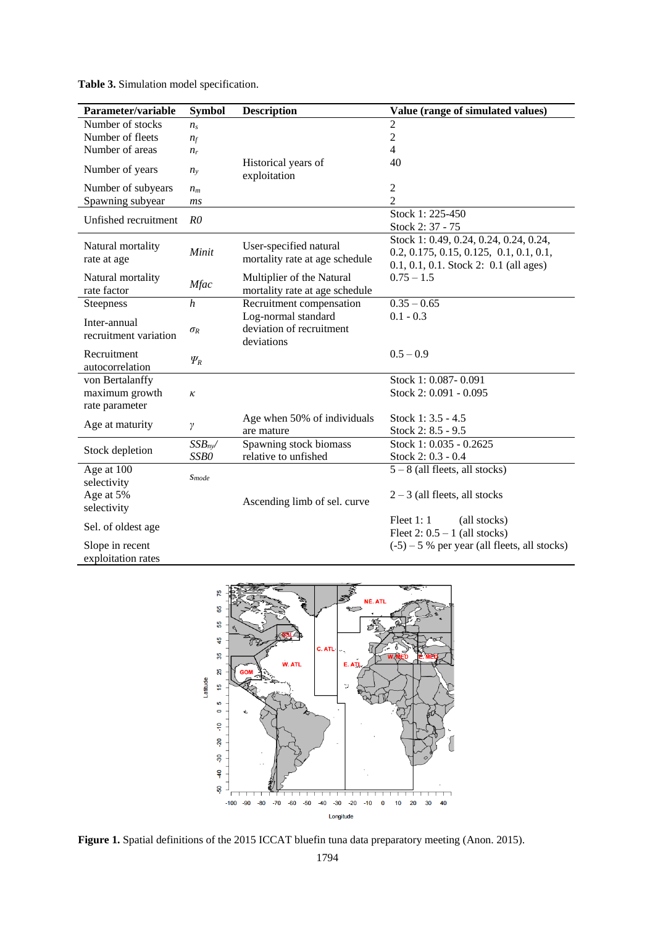| Table 3. Simulation model specification. |
|------------------------------------------|
|------------------------------------------|

| Parameter/variable    | <b>Symbol</b>    | <b>Description</b>                  | Value (range of simulated values)              |
|-----------------------|------------------|-------------------------------------|------------------------------------------------|
| Number of stocks      | $n_{\rm s}$      |                                     | $\overline{c}$                                 |
| Number of fleets      | $n_f$            |                                     | $\sqrt{2}$                                     |
| Number of areas       | $n_r$            |                                     | $\overline{4}$                                 |
| Number of years       | $n_{v}$          | Historical years of<br>exploitation | 40                                             |
| Number of subyears    | $n_{m}$          |                                     | $\overline{2}$                                 |
| Spawning subyear      | ms               |                                     | $\overline{2}$                                 |
| Unfished recruitment  | R <sub>0</sub>   |                                     | Stock 1: 225-450                               |
|                       |                  |                                     | Stock 2: 37 - 75                               |
|                       |                  |                                     | Stock 1: 0.49, 0.24, 0.24, 0.24, 0.24,         |
| Natural mortality     | Minit            | User-specified natural              | $0.2, 0.175, 0.15, 0.125, 0.1, 0.1, 0.1,$      |
| rate at age           |                  | mortality rate at age schedule      | $0.1, 0.1, 0.1$ . Stock 2: 0.1 (all ages)      |
| Natural mortality     | <b>Mfac</b>      | Multiplier of the Natural           | $0.75 - 1.5$                                   |
| rate factor           |                  | mortality rate at age schedule      |                                                |
| Steepness             | $\boldsymbol{h}$ | Recruitment compensation            | $0.35 - 0.65$                                  |
| Inter-annual          |                  | Log-normal standard                 | $0.1 - 0.3$                                    |
| recruitment variation | $\sigma_R$       | deviation of recruitment            |                                                |
|                       |                  | deviations                          |                                                |
| Recruitment           | $\varPsi_R$      |                                     | $0.5 - 0.9$                                    |
| autocorrelation       |                  |                                     |                                                |
| von Bertalanffy       |                  |                                     | Stock 1: 0.087-0.091                           |
| maximum growth        | ĸ                |                                     | Stock 2: 0.091 - 0.095                         |
| rate parameter        |                  |                                     |                                                |
| Age at maturity       | γ                | Age when 50% of individuals         | Stock 1: 3.5 - 4.5                             |
|                       |                  | are mature                          | Stock 2: 8.5 - 9.5                             |
| Stock depletion       | $SSB_{ny}$       | Spawning stock biomass              | Stock 1: 0.035 - 0.2625                        |
|                       | SSB0             | relative to unfished                | Stock 2: 0.3 - 0.4                             |
| Age at 100            | <b>S</b> mode    |                                     | $5 - 8$ (all fleets, all stocks)               |
| selectivity           |                  |                                     |                                                |
| Age at 5%             |                  | Ascending limb of sel. curve        | $2 - 3$ (all fleets, all stocks                |
| selectivity           |                  |                                     |                                                |
| Sel. of oldest age    |                  |                                     | Fleet $1:1$<br>(all stocks)                    |
|                       |                  |                                     | Fleet $2: 0.5 - 1$ (all stocks)                |
| Slope in recent       |                  |                                     | $(-5)$ – 5 % per year (all fleets, all stocks) |
| exploitation rates    |                  |                                     |                                                |



Figure 1. Spatial definitions of the 2015 ICCAT bluefin tuna data preparatory meeting (Anon. 2015).